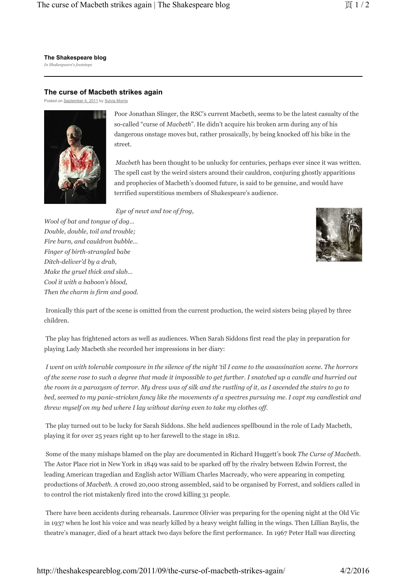**The Shakespeare blog** *In Shakespeare's footsteps*

## **The curse of Macbeth strikes again**

Posted on September 4, 2011 by Sylvia Morris



Poor Jonathan Slinger, the RSC's current Macbeth, seems to be the latest casualty of the so-called "curse of *Macbeth*". He didn't acquire his broken arm during any of his dangerous onstage moves but, rather prosaically, by being knocked off his bike in the street.

*Macbeth* has been thought to be unlucky for centuries, perhaps ever since it was written. The spell cast by the weird sisters around their cauldron, conjuring ghostly apparitions and prophecies of Macbeth's doomed future, is said to be genuine, and would have terrified superstitious members of Shakespeare's audience.

*Eye of newt and toe of frog,*

*Wool of bat and tongue of dog… Double, double, toil and trouble; Fire burn, and cauldron bubble… Finger of birth-strangled babe Ditch-deliver'd by a drab, Make the gruel thick and slab… Cool it with a baboon's blood, Then the charm is firm and good.*



 Ironically this part of the scene is omitted from the current production, the weird sisters being played by three children.

 The play has frightened actors as well as audiences. When Sarah Siddons first read the play in preparation for playing Lady Macbeth she recorded her impressions in her diary:

*I went on with tolerable composure in the silence of the night 'til I came to the assassination scene. The horrors of the scene rose to such a degree that made it impossible to get further. I snatched up a candle and hurried out the room in a paroxysm of terror. My dress was of silk and the rustling of it, as I ascended the stairs to go to bed, seemed to my panic-stricken fancy like the movements of a spectres pursuing me. I capt my candlestick and threw myself on my bed where I lay without daring even to take my clothes off.*

 The play turned out to be lucky for Sarah Siddons. She held audiences spellbound in the role of Lady Macbeth, playing it for over 25 years right up to her farewell to the stage in 1812.

 Some of the many mishaps blamed on the play are documented in Richard Huggett's book *The Curse of Macbeth*. The Astor Place riot in New York in 1849 was said to be sparked off by the rivalry between Edwin Forrest, the leading American tragedian and English actor William Charles Macready, who were appearing in competing productions of *Macbeth*. A crowd 20,000 strong assembled, said to be organised by Forrest, and soldiers called in to control the riot mistakenly fired into the crowd killing 31 people.

 There have been accidents during rehearsals. Laurence Olivier was preparing for the opening night at the Old Vic in 1937 when he lost his voice and was nearly killed by a heavy weight falling in the wings. Then Lillian Baylis, the theatre's manager, died of a heart attack two days before the first performance. In 1967 Peter Hall was directing